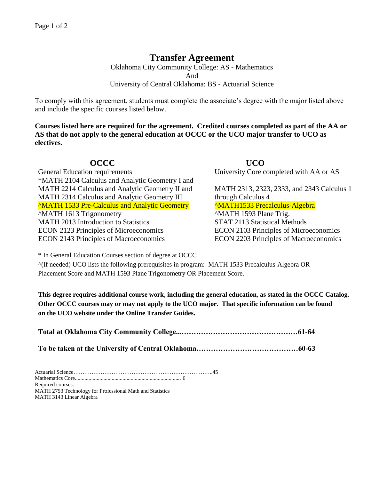## **Transfer Agreement**

Oklahoma City Community College: AS - Mathematics And University of Central Oklahoma: BS - Actuarial Science

To comply with this agreement, students must complete the associate's degree with the major listed above and include the specific courses listed below.

**Courses listed here are required for the agreement. Credited courses completed as part of the AA or AS that do not apply to the general education at OCCC or the UCO major transfer to UCO as electives.**

General Education requirements University Core completed with AA or AS \*MATH 2104 Calculus and Analytic Geometry I and MATH 2214 Calculus and Analytic Geometry II and MATH 2313, 2323, 2333, and 2343 Calculus 1 MATH 2314 Calculus and Analytic Geometry III through Calculus 4 <sup>^</sup>MATH 1533 Pre-Calculus and Analytic Geometry <sup>^MATH1533 Precalculus-Algebra</sup> ^MATH 1613 Trigonometry ^MATH 1593 Plane Trig. MATH 2013 Introduction to Statistics STAT 2113 Statistical Methods ECON 2123 Principles of Microeconomics ECON 2103 Principles of Microeconomics ECON 2143 Principles of Macroeconomics ECON 2203 Principles of Macroeconomics

## **OCCC UCO**

**\*** In General Education Courses section of degree at OCCC

^(If needed) UCO lists the following prerequisites in program: MATH 1533 Precalculus-Algebra OR Placement Score and MATH 1593 Plane Trigonometry OR Placement Score.

**This degree requires additional course work, including the general education, as stated in the OCCC Catalog. Other OCCC courses may or may not apply to the UCO major. That specific information can be found on the UCO website under the Online Transfer Guides.** 

| $\mathbf{r}$ , $\mathbf{r}$ , $\mathbf{r}$ , $\mathbf{r}$ , $\mathbf{r}$ , $\mathbf{r}$ , $\mathbf{r}$ , $\mathbf{r}$ , $\mathbf{r}$ , $\mathbf{r}$ , $\mathbf{r}$ , $\mathbf{r}$ , $\mathbf{r}$ , $\mathbf{r}$ , $\mathbf{r}$ , $\mathbf{r}$ , $\mathbf{r}$ , $\mathbf{r}$ , $\mathbf{r}$ , $\mathbf{r}$ , |  |
|-------------------------------------------------------------------------------------------------------------------------------------------------------------------------------------------------------------------------------------------------------------------------------------------------------------|--|

**To be taken at the University of Central Oklahoma……………………………………60-63**

Actuarial Science…………………………………………………………………..45 Mathematics Core.............................................................................. 6 Required courses: MATH 2753 Technology for Professional Math and Statistics MATH 3143 Linear Algebra